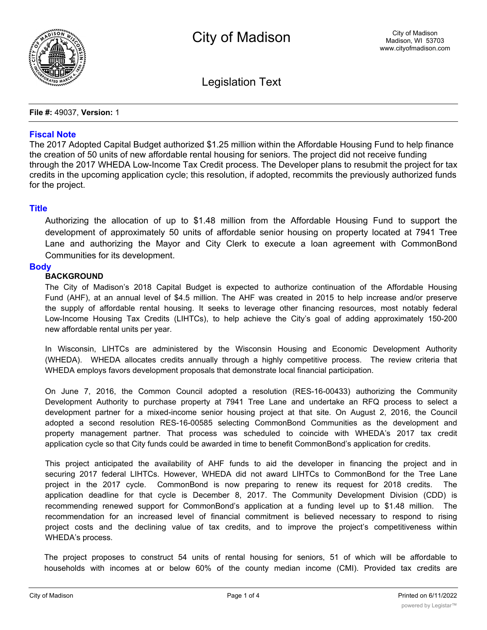

Legislation Text

**File #:** 49037, **Version:** 1

## **Fiscal Note**

The 2017 Adopted Capital Budget authorized \$1.25 million within the Affordable Housing Fund to help finance the creation of 50 units of new affordable rental housing for seniors. The project did not receive funding through the 2017 WHEDA Low-Income Tax Credit process. The Developer plans to resubmit the project for tax credits in the upcoming application cycle; this resolution, if adopted, recommits the previously authorized funds for the project.

## **Title**

Authorizing the allocation of up to \$1.48 million from the Affordable Housing Fund to support the development of approximately 50 units of affordable senior housing on property located at 7941 Tree Lane and authorizing the Mayor and City Clerk to execute a loan agreement with CommonBond Communities for its development.

## **Body**

# **BACKGROUND**

The City of Madison's 2018 Capital Budget is expected to authorize continuation of the Affordable Housing Fund (AHF), at an annual level of \$4.5 million. The AHF was created in 2015 to help increase and/or preserve the supply of affordable rental housing. It seeks to leverage other financing resources, most notably federal Low-Income Housing Tax Credits (LIHTCs), to help achieve the City's goal of adding approximately 150-200 new affordable rental units per year.

In Wisconsin, LIHTCs are administered by the Wisconsin Housing and Economic Development Authority (WHEDA). WHEDA allocates credits annually through a highly competitive process. The review criteria that WHEDA employs favors development proposals that demonstrate local financial participation.

On June 7, 2016, the Common Council adopted a resolution (RES-16-00433) authorizing the Community Development Authority to purchase property at 7941 Tree Lane and undertake an RFQ process to select a development partner for a mixed-income senior housing project at that site. On August 2, 2016, the Council adopted a second resolution RES-16-00585 selecting CommonBond Communities as the development and property management partner. That process was scheduled to coincide with WHEDA's 2017 tax credit application cycle so that City funds could be awarded in time to benefit CommonBond's application for credits.

This project anticipated the availability of AHF funds to aid the developer in financing the project and in securing 2017 federal LIHTCs. However, WHEDA did not award LIHTCs to CommonBond for the Tree Lane project in the 2017 cycle. CommonBond is now preparing to renew its request for 2018 credits. The application deadline for that cycle is December 8, 2017. The Community Development Division (CDD) is recommending renewed support for CommonBond's application at a funding level up to \$1.48 million. The recommendation for an increased level of financial commitment is believed necessary to respond to rising project costs and the declining value of tax credits, and to improve the project's competitiveness within WHEDA's process.

The project proposes to construct 54 units of rental housing for seniors, 51 of which will be affordable to households with incomes at or below 60% of the county median income (CMI). Provided tax credits are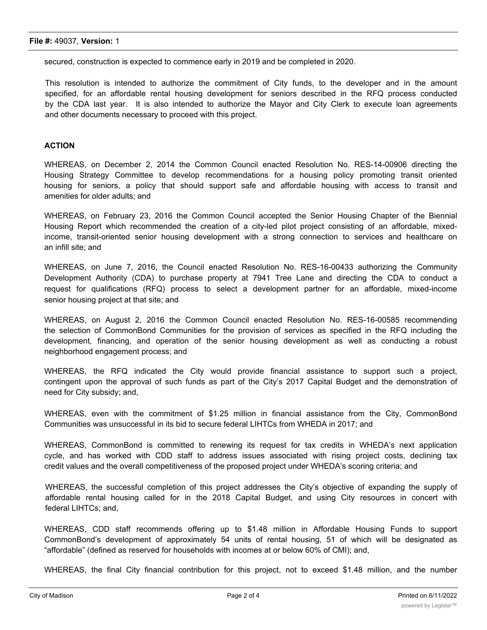secured, construction is expected to commence early in 2019 and be completed in 2020.

This resolution is intended to authorize the commitment of City funds, to the developer and in the amount specified, for an affordable rental housing development for seniors described in the RFQ process conducted by the CDA last year. It is also intended to authorize the Mayor and City Clerk to execute loan agreements and other documents necessary to proceed with this project.

### **ACTION**

WHEREAS, on December 2, 2014 the Common Council enacted Resolution No. RES-14-00906 directing the Housing Strategy Committee to develop recommendations for a housing policy promoting transit oriented housing for seniors, a policy that should support safe and affordable housing with access to transit and amenities for older adults; and

WHEREAS, on February 23, 2016 the Common Council accepted the Senior Housing Chapter of the Biennial Housing Report which recommended the creation of a city-led pilot project consisting of an affordable, mixedincome, transit-oriented senior housing development with a strong connection to services and healthcare on an infill site; and

WHEREAS, on June 7, 2016, the Council enacted Resolution No. RES-16-00433 authorizing the Community Development Authority (CDA) to purchase property at 7941 Tree Lane and directing the CDA to conduct a request for qualifications (RFQ) process to select a development partner for an affordable, mixed-income senior housing project at that site; and

WHEREAS, on August 2, 2016 the Common Council enacted Resolution No. RES-16-00585 recommending the selection of CommonBond Communities for the provision of services as specified in the RFQ including the development, financing, and operation of the senior housing development as well as conducting a robust neighborhood engagement process; and

WHEREAS, the RFQ indicated the City would provide financial assistance to support such a project, contingent upon the approval of such funds as part of the City's 2017 Capital Budget and the demonstration of need for City subsidy; and,

WHEREAS, even with the commitment of \$1.25 million in financial assistance from the City, CommonBond Communities was unsuccessful in its bid to secure federal LIHTCs from WHEDA in 2017; and

WHEREAS, CommonBond is committed to renewing its request for tax credits in WHEDA's next application cycle, and has worked with CDD staff to address issues associated with rising project costs, declining tax credit values and the overall competitiveness of the proposed project under WHEDA's scoring criteria; and

WHEREAS, the successful completion of this project addresses the City's objective of expanding the supply of affordable rental housing called for in the 2018 Capital Budget, and using City resources in concert with federal LIHTCs; and,

WHEREAS, CDD staff recommends offering up to \$1.48 million in Affordable Housing Funds to support CommonBond's development of approximately 54 units of rental housing, 51 of which will be designated as "affordable" (defined as reserved for households with incomes at or below 60% of CMI); and,

WHEREAS, the final City financial contribution for this project, not to exceed \$1.48 million, and the number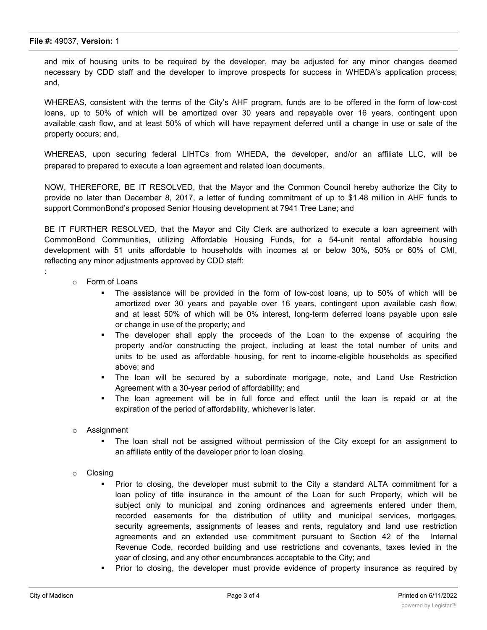and mix of housing units to be required by the developer, may be adjusted for any minor changes deemed necessary by CDD staff and the developer to improve prospects for success in WHEDA's application process; and,

WHEREAS, consistent with the terms of the City's AHF program, funds are to be offered in the form of low-cost loans, up to 50% of which will be amortized over 30 years and repayable over 16 years, contingent upon available cash flow, and at least 50% of which will have repayment deferred until a change in use or sale of the property occurs; and,

WHEREAS, upon securing federal LIHTCs from WHEDA, the developer, and/or an affiliate LLC, will be prepared to prepared to execute a loan agreement and related loan documents.

NOW, THEREFORE, BE IT RESOLVED, that the Mayor and the Common Council hereby authorize the City to provide no later than December 8, 2017, a letter of funding commitment of up to \$1.48 million in AHF funds to support CommonBond's proposed Senior Housing development at 7941 Tree Lane; and

BE IT FURTHER RESOLVED, that the Mayor and City Clerk are authorized to execute a loan agreement with CommonBond Communities, utilizing Affordable Housing Funds, for a 54-unit rental affordable housing development with 51 units affordable to households with incomes at or below 30%, 50% or 60% of CMI, reflecting any minor adjustments approved by CDD staff:

o Form of Loans

:

- The assistance will be provided in the form of low-cost loans, up to 50% of which will be amortized over 30 years and payable over 16 years, contingent upon available cash flow, and at least 50% of which will be 0% interest, long-term deferred loans payable upon sale or change in use of the property; and
- § The developer shall apply the proceeds of the Loan to the expense of acquiring the property and/or constructing the project, including at least the total number of units and units to be used as affordable housing, for rent to income-eligible households as specified above; and
- § The loan will be secured by a subordinate mortgage, note, and Land Use Restriction Agreement with a 30-year period of affordability; and
- § The loan agreement will be in full force and effect until the loan is repaid or at the expiration of the period of affordability, whichever is later.
- o Assignment
	- The loan shall not be assigned without permission of the City except for an assignment to an affiliate entity of the developer prior to loan closing.
- o Closing
	- Prior to closing, the developer must submit to the City a standard ALTA commitment for a loan policy of title insurance in the amount of the Loan for such Property, which will be subject only to municipal and zoning ordinances and agreements entered under them, recorded easements for the distribution of utility and municipal services, mortgages, security agreements, assignments of leases and rents, regulatory and land use restriction agreements and an extended use commitment pursuant to Section 42 of the Internal Revenue Code, recorded building and use restrictions and covenants, taxes levied in the year of closing, and any other encumbrances acceptable to the City; and
	- § Prior to closing, the developer must provide evidence of property insurance as required by